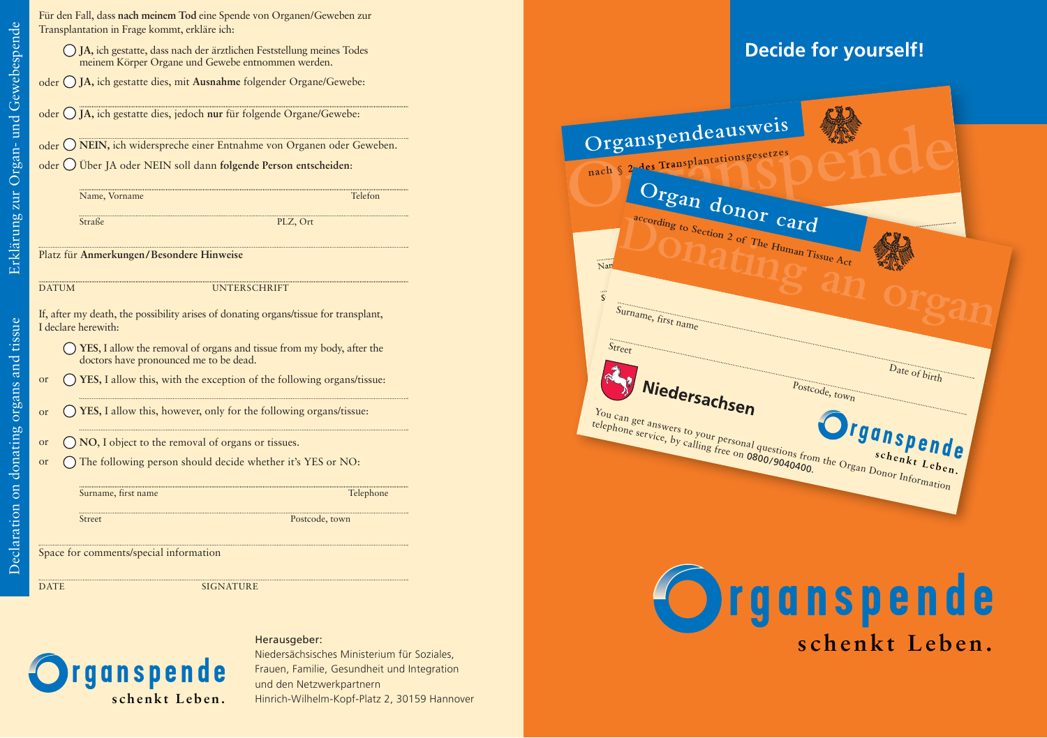Declaration on donating organs and tissue

Declaration on donating organs and tissue

**YES**, I allow the removal of organs and tissue from my body, after the doctors have pronounced me to be dead. **YES,** I allow this, with the exception of the following organs/tissue: **YES,** I allow this, however, only for the following organs/tissue: **NO**, I object to the removal of organs or tissues. The following person should decide whether it's YES or NO: Surname, first name Telephone Street Postcode, town If, after my death, the possibility arises of donating organs/tissue for transplant, I declare herewith: or or or or Space for comments/special information DATE SIGNATURE **JA,** ich gestatte, dass nach der ärztlichen Feststellung meines Todes meinem Körper Organe und Gewebe entnommen werden. oder (**J JA,** ich gestatte dies, mit **Ausnahme** folgender Organe/Gewebe: oder  $\bigcup$  JA, ich gestatte dies, jedoch nur für folgende Organe/Gewebe: oder ∪ NEIN, ich widerspreche einer Entnahme von Organen oder Geweben. oder  $\bigcup$  Uber JA oder NEIN soll dann folgende Person entscheiden: Name, Vorname Telefon Straße PLZ, Ort Für den Fall, dass **nach meinem Tod** eine Spende von Organen/Geweben zur Transplantation in Frage kommt, erkläre ich: Platz für **Anmerkungen/Besondere Hinweise** DATUM UNTERSCHRIFT

#### Herausgeber:



Niedersächsisches Ministerium für Soziales, Frauen, Familie, Gesundheit und Integration und den Netzwerkpartnern Hinrich-Wilhelm-Kopf-Platz 2, 30159 Hannover

## **Decide for yourself!**